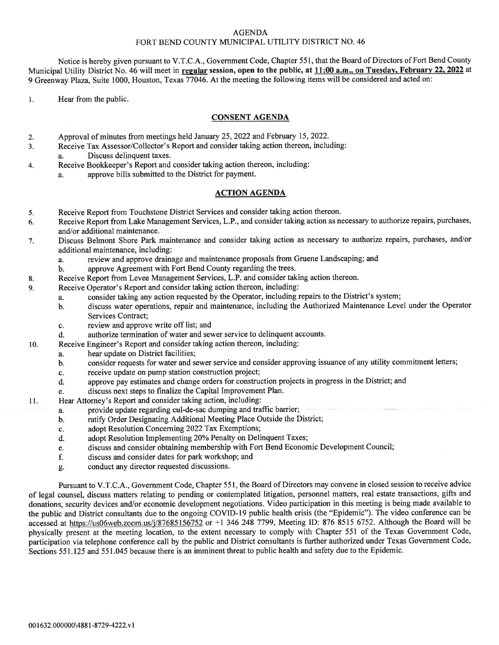## AGENDA FORT BEND COUNTY MUNICIPAL UTILITY DISTRICT NO. 46

Notice is hereby given pursuant to V.T.C.A., Government Code, Chapter 551, that the Board of Directors of Fort Bend County Municipal Utility District No. 46 will meet in regular session, open to the public, at 11:00 a.m., on Tuesday, February 22, 2022 at 9 Greenway Plaza, Suite 1000, Houston, Texas 77046. At the meeting the following items will be considered and acted on:

1. Hear from the public.

## CONSENT AGENDA

- 2. Approval of minutes from meetings held January 25,2022 and February 15,2022.
- Receive Tax Assessor/Collector's Report and consider taking action thereon, including: 3.
- a. Discuss delinquent taxes.
- 4. Receive Bookkeeper's Report and consider taking action thereon, including:
	- a. approve bills submitted to the District for payment.

## ACTION AGENDA

- 5. Receive Report from Touchstone District Services and consider taking action thereon.
- 6. Receive Report from Lake Management Services, L.P., and consider taking action as necessary to authorize repairs, purchases, and/or additional maintenance.
- 7. Discuss Belmont Shore Park maintenance and consider taking action as necessary to authorize repairs, purchases, and/ot additional maintenance, including:
	- a. review and approve drainage and maintenance proposals from Gruene Landscaping; and b. approve Agreement with Fort Bend County regarding the trees.
	- approve Agreement with Fort Bend County regarding the trees.
- 8. Receive Report from Levee Management Services, L.P. and consider taking action thereon.
- 9. Receive Operator's Report and consider taking action thereon, including:
	- a. consider taking any action requested by the Operator, including repairs to the District's system;
	- b. discuss water operations, repair and maintenance, including the Authorized Maintenance Level under the Operator Services Contract;
	- c. review and approve write off list; and
- d. authorize termination of water and sewer service to delinquent accounts.
- 10. Receive Engineer's Report and consider taking action thereon, including:
	- a. hear update on District facilities;<br>b. consider requests for water and set
	- b. consider requests for water and sewer service and consider approving issuance of any utility commitment letters;
	- c. receive update on pump station construction project;<br>d. approve pay estimates and change orders for construction
	- approve pay estimates and change orders for construction projects in progress in the District; and
	- e. discuss next steps to frnalize the Capital Improvement Plan.
- <sup>I</sup>l. Hear Afforney's Report and consider taking action, including:
	- a. provide update regarding cul-de-sac dumping and traffic barrier;
	- b. ratify Order Designating Additional Meeting Place Outside the District;<br>c. adopt Resolution Concerning 2022 Tax Exemptions;
	-
	- c. adopt Resolution Concerning 2022 Tax Exemptions;<br>d. adopt Resolution Implementing 20% Penalty on Deli adopt Resolution Implementing 20% Penalty on Delinquent Taxes;
	- e. discuss and consider obtaining membership with Fort Bend Economic Development Council;
	- discuss and consider dates for park workshop; and
	- g. conduct any director requested discussions.

Pursuant to V.T.C.A., Government Code, Chapter 551, the Board of Directors may convene in closed session to receive advice of legal counsel, discuss matters relating to pending or contemplated litigation, personnel matters, real estate transactions, gifts and donations, security devices and/or economic development negotiations. Video participation in this meeting is being made available to the public and District consultants due to the ongoing COVID-I9 public health crisis (the "Epidemic"). The video conference can be accessed at https://us06web.zoom.us/j/87685156752 or +l 346 248 7799, Meeting ID: 876 8515 6752. Although the Board will be physically present at the meeting location, to the extent necessary to comply with Chapter 551 of the Texas Government Code, participation via telephone conference call by the public and District consultants is further authorized under Texas Government Code, Sections 551.125 and 551.045 because there is an imminent threat to public health and safety due to the Epidemic.